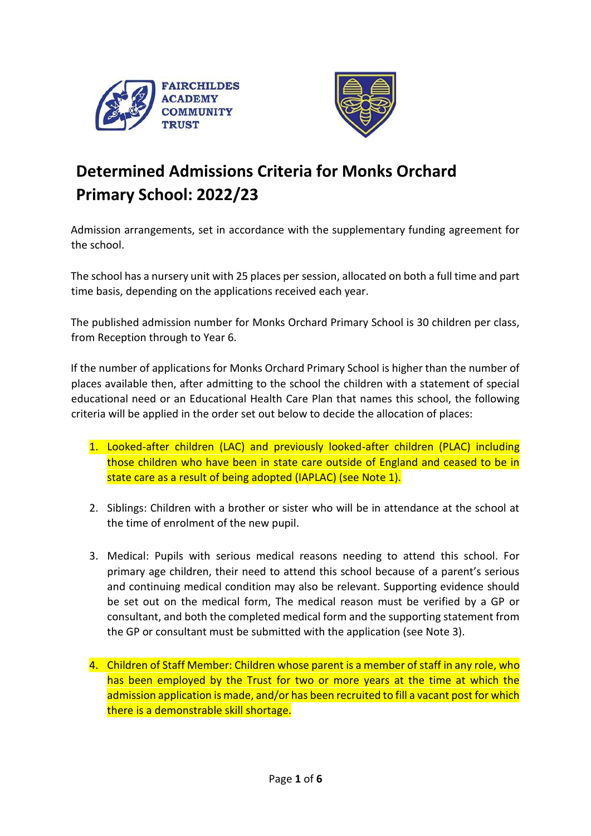



# **Determined Admissions Criteria for Monks Orchard Primary School: 2022/23**

Admission arrangements, set in accordance with the supplementary funding agreement for the school.

The school has a nursery unit with 25 places per session, allocated on both a full time and part time basis, depending on the applications received each year.

The published admission number for Monks Orchard Primary School is 30 children per class, from Reception through to Year 6.

If the number of applications for Monks Orchard Primary School is higher than the number of places available then, after admitting to the school the children with a statement of special educational need or an Educational Health Care Plan that names this school, the following criteria will be applied in the order set out below to decide the allocation of places:

- 1. Looked-after children (LAC) and previously looked-after children (PLAC) including those children who have been in state care outside of England and ceased to be in state care as a result of being adopted (IAPLAC) (see Note 1).
- 2. Siblings: Children with a brother or sister who will be in attendance at the school at the time of enrolment of the new pupil.
- 3. Medical: Pupils with serious medical reasons needing to attend this school. For primary age children, their need to attend this school because of a parent's serious and continuing medical condition may also be relevant. Supporting evidence should be set out on the medical form, The medical reason must be verified by a GP or consultant, and both the completed medical form and the supporting statement from the GP or consultant must be submitted with the application (see Note 3).
- 4. Children of Staff Member: Children whose parent is a member of staff in any role, who has been employed by the Trust for two or more years at the time at which the admission application is made, and/or has been recruited to fill a vacant post for which there is a demonstrable skill shortage.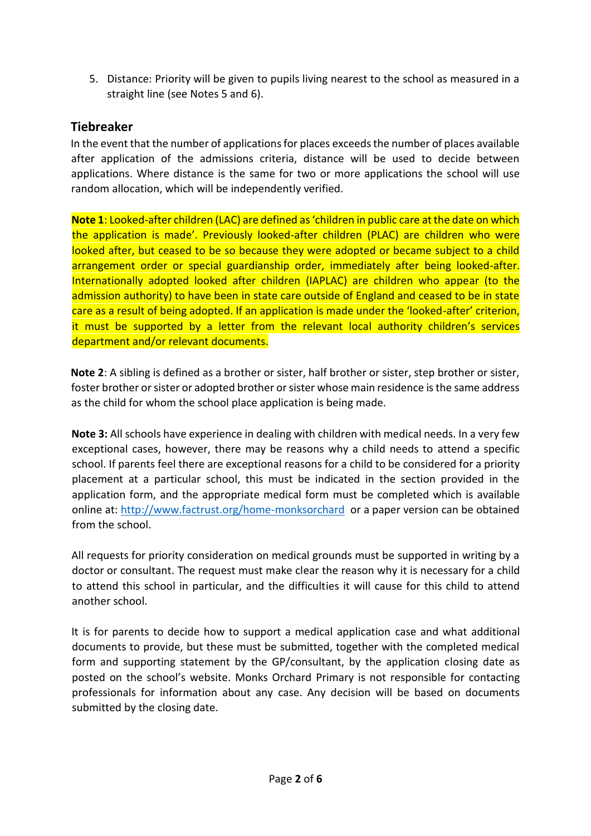5. Distance: Priority will be given to pupils living nearest to the school as measured in a straight line (see Notes 5 and 6).

#### **Tiebreaker**

In the event that the number of applications for places exceeds the number of places available after application of the admissions criteria, distance will be used to decide between applications. Where distance is the same for two or more applications the school will use random allocation, which will be independently verified.

**Note 1**: Looked-after children (LAC) are defined as 'children in public care at the date on which the application is made'. Previously looked-after children (PLAC) are children who were looked after, but ceased to be so because they were adopted or became subject to a child arrangement order or special guardianship order, immediately after being looked-after. Internationally adopted looked after children (IAPLAC) are children who appear (to the admission authority) to have been in state care outside of England and ceased to be in state care as a result of being adopted. If an application is made under the 'looked-after' criterion, it must be supported by a letter from the relevant local authority children's services department and/or relevant documents.

**Note 2**: A sibling is defined as a brother or sister, half brother or sister, step brother or sister, foster brother or sister or adopted brother or sister whose main residence is the same address as the child for whom the school place application is being made.

**Note 3:** All schools have experience in dealing with children with medical needs. In a very few exceptional cases, however, there may be reasons why a child needs to attend a specific school. If parents feel there are exceptional reasons for a child to be considered for a priority placement at a particular school, this must be indicated in the section provided in the application form, and the appropriate medical form must be completed which is available online at:<http://www.factrust.org/home-monksorchard>or a paper version can be obtained from the school.

All requests for priority consideration on medical grounds must be supported in writing by a doctor or consultant. The request must make clear the reason why it is necessary for a child to attend this school in particular, and the difficulties it will cause for this child to attend another school.

It is for parents to decide how to support a medical application case and what additional documents to provide, but these must be submitted, together with the completed medical form and supporting statement by the GP/consultant, by the application closing date as posted on the school's website. Monks Orchard Primary is not responsible for contacting professionals for information about any case. Any decision will be based on documents submitted by the closing date.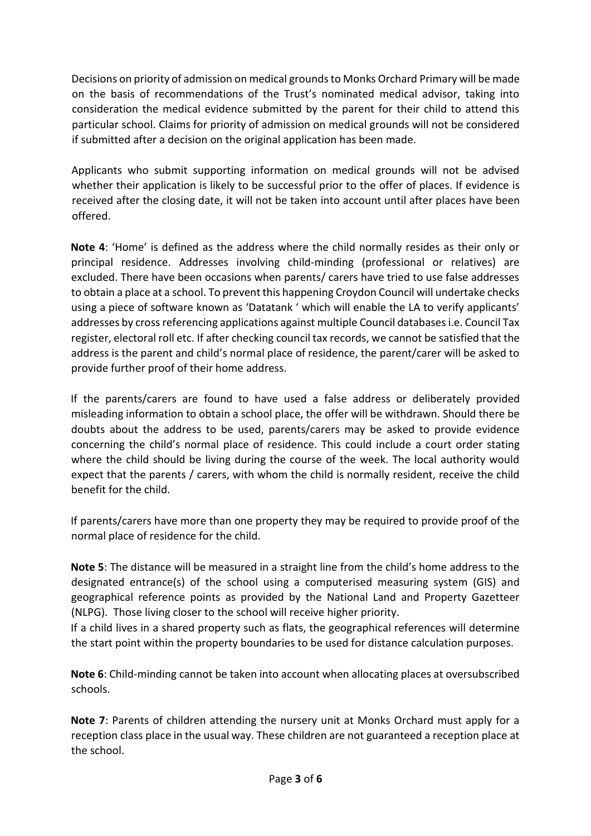Decisions on priority of admission on medical grounds to Monks Orchard Primary will be made on the basis of recommendations of the Trust's nominated medical advisor, taking into consideration the medical evidence submitted by the parent for their child to attend this particular school. Claims for priority of admission on medical grounds will not be considered if submitted after a decision on the original application has been made.

Applicants who submit supporting information on medical grounds will not be advised whether their application is likely to be successful prior to the offer of places. If evidence is received after the closing date, it will not be taken into account until after places have been offered.

**Note 4**: 'Home' is defined as the address where the child normally resides as their only or principal residence. Addresses involving child-minding (professional or relatives) are excluded. There have been occasions when parents/ carers have tried to use false addresses to obtain a place at a school. To prevent this happening Croydon Council will undertake checks using a piece of software known as 'Datatank ' which will enable the LA to verify applicants' addresses by cross referencing applications against multiple Council databases i.e. Council Tax register, electoral roll etc. If after checking council tax records, we cannot be satisfied that the address is the parent and child's normal place of residence, the parent/carer will be asked to provide further proof of their home address.

If the parents/carers are found to have used a false address or deliberately provided misleading information to obtain a school place, the offer will be withdrawn. Should there be doubts about the address to be used, parents/carers may be asked to provide evidence concerning the child's normal place of residence. This could include a court order stating where the child should be living during the course of the week. The local authority would expect that the parents / carers, with whom the child is normally resident, receive the child benefit for the child.

If parents/carers have more than one property they may be required to provide proof of the normal place of residence for the child.

**Note 5**: The distance will be measured in a straight line from the child's home address to the designated entrance(s) of the school using a computerised measuring system (GIS) and geographical reference points as provided by the National Land and Property Gazetteer (NLPG). Those living closer to the school will receive higher priority.

If a child lives in a shared property such as flats, the geographical references will determine the start point within the property boundaries to be used for distance calculation purposes.

**Note 6**: Child-minding cannot be taken into account when allocating places at oversubscribed schools.

**Note 7**: Parents of children attending the nursery unit at Monks Orchard must apply for a reception class place in the usual way. These children are not guaranteed a reception place at the school.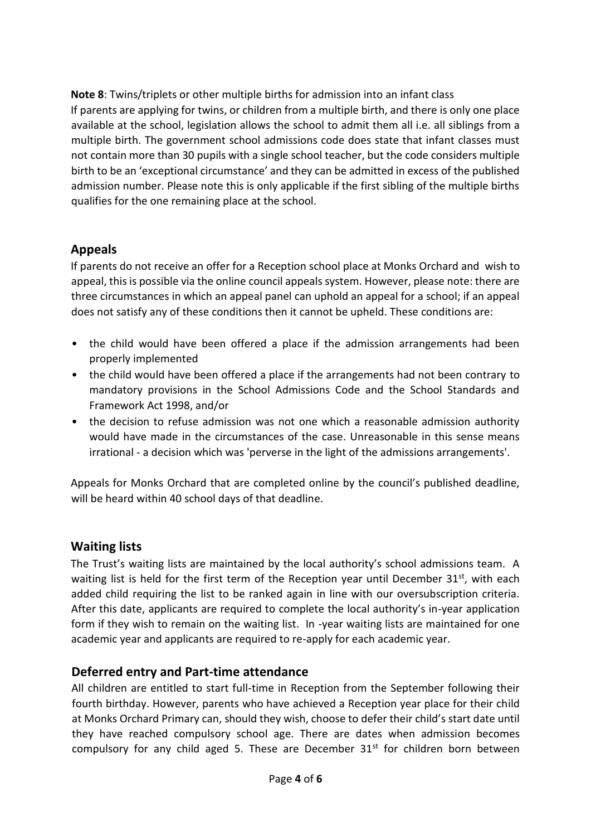**Note 8**: Twins/triplets or other multiple births for admission into an infant class If parents are applying for twins, or children from a multiple birth, and there is only one place available at the school, legislation allows the school to admit them all i.e. all siblings from a multiple birth. The government school admissions code does state that infant classes must not contain more than 30 pupils with a single school teacher, but the code considers multiple birth to be an 'exceptional circumstance' and they can be admitted in excess of the published admission number. Please note this is only applicable if the first sibling of the multiple births qualifies for the one remaining place at the school.

### **Appeals**

If parents do not receive an offer for a Reception school place at Monks Orchard and wish to appeal, this is possible via the online council appeals system. However, please note: there are three circumstances in which an appeal panel can uphold an appeal for a school; if an appeal does not satisfy any of these conditions then it cannot be upheld. These conditions are:

- the child would have been offered a place if the admission arrangements had been properly implemented
- the child would have been offered a place if the arrangements had not been contrary to mandatory provisions in the School Admissions Code and the School Standards and Framework Act 1998, and/or
- the decision to refuse admission was not one which a reasonable admission authority would have made in the circumstances of the case. Unreasonable in this sense means irrational - a decision which was 'perverse in the light of the admissions arrangements'.

Appeals for Monks Orchard that are completed online by the council's published deadline, will be heard within 40 school days of that deadline.

### **Waiting lists**

The Trust's waiting lists are maintained by the local authority's school admissions team. A waiting list is held for the first term of the Reception year until December  $31^{st}$ , with each added child requiring the list to be ranked again in line with our oversubscription criteria. After this date, applicants are required to complete the local authority's in-year application form if they wish to remain on the waiting list. In -year waiting lists are maintained for one academic year and applicants are required to re-apply for each academic year.

### **Deferred entry and Part-time attendance**

All children are entitled to start full-time in Reception from the September following their fourth birthday. However, parents who have achieved a Reception year place for their child at Monks Orchard Primary can, should they wish, choose to defer their child's start date until they have reached compulsory school age. There are dates when admission becomes compulsory for any child aged 5. These are December 31<sup>st</sup> for children born between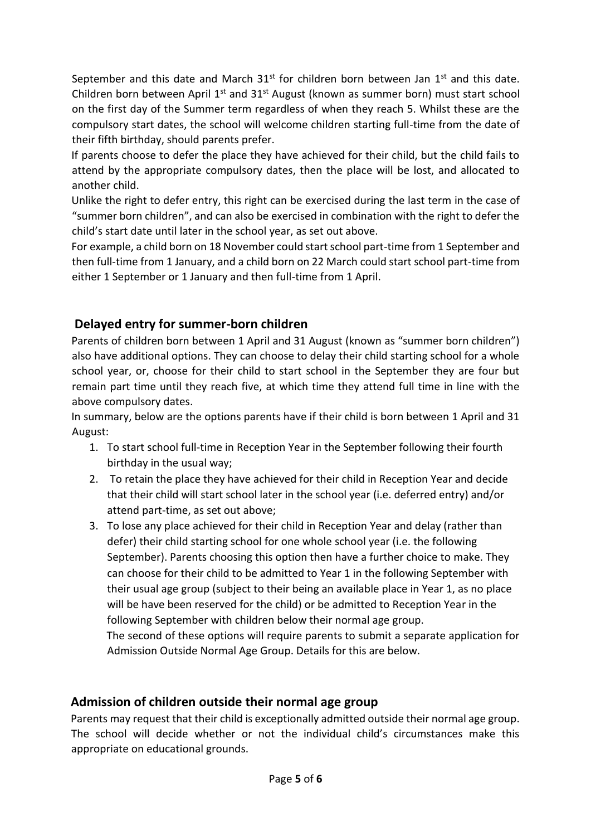September and this date and March  $31<sup>st</sup>$  for children born between Jan  $1<sup>st</sup>$  and this date. Children born between April  $1^{st}$  and  $31^{st}$  August (known as summer born) must start school on the first day of the Summer term regardless of when they reach 5. Whilst these are the compulsory start dates, the school will welcome children starting full-time from the date of their fifth birthday, should parents prefer.

If parents choose to defer the place they have achieved for their child, but the child fails to attend by the appropriate compulsory dates, then the place will be lost, and allocated to another child.

Unlike the right to defer entry, this right can be exercised during the last term in the case of "summer born children", and can also be exercised in combination with the right to defer the child's start date until later in the school year, as set out above.

For example, a child born on 18 November could start school part-time from 1 September and then full-time from 1 January, and a child born on 22 March could start school part-time from either 1 September or 1 January and then full-time from 1 April.

## **Delayed entry for summer-born children**

Parents of children born between 1 April and 31 August (known as "summer born children") also have additional options. They can choose to delay their child starting school for a whole school year, or, choose for their child to start school in the September they are four but remain part time until they reach five, at which time they attend full time in line with the above compulsory dates.

In summary, below are the options parents have if their child is born between 1 April and 31 August:

- 1. To start school full-time in Reception Year in the September following their fourth birthday in the usual way;
- 2. To retain the place they have achieved for their child in Reception Year and decide that their child will start school later in the school year (i.e. deferred entry) and/or attend part-time, as set out above;
- 3. To lose any place achieved for their child in Reception Year and delay (rather than defer) their child starting school for one whole school year (i.e. the following September). Parents choosing this option then have a further choice to make. They can choose for their child to be admitted to Year 1 in the following September with their usual age group (subject to their being an available place in Year 1, as no place will be have been reserved for the child) or be admitted to Reception Year in the following September with children below their normal age group.

The second of these options will require parents to submit a separate application for Admission Outside Normal Age Group. Details for this are below.

### **Admission of children outside their normal age group**

Parents may request that their child is exceptionally admitted outside their normal age group. The school will decide whether or not the individual child's circumstances make this appropriate on educational grounds.